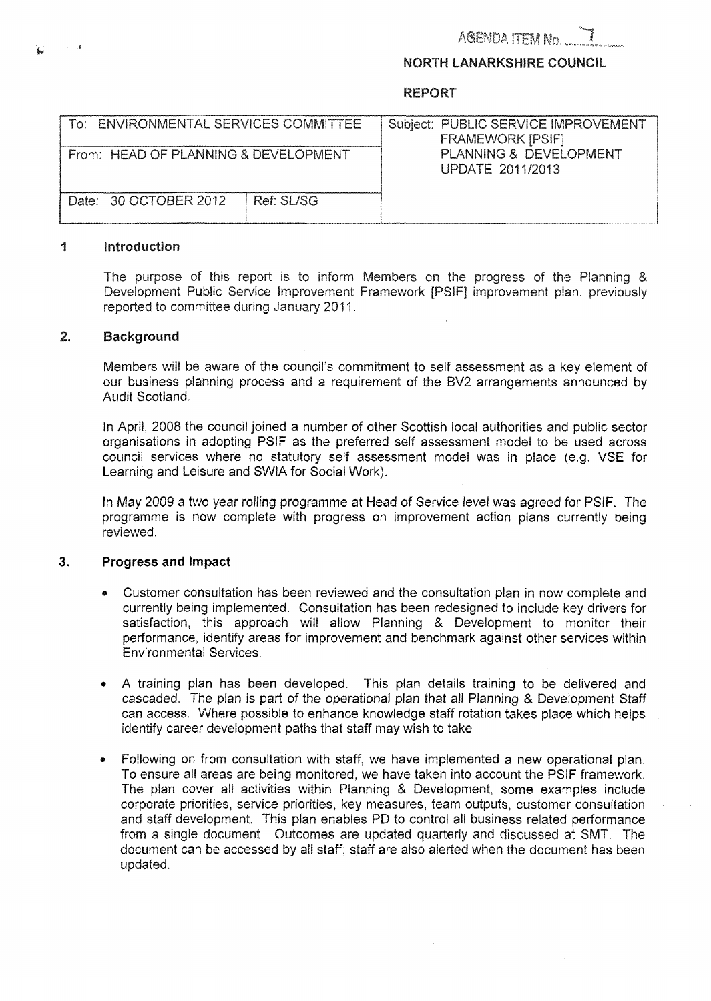## **NORTH LANARKSHIRE COUNCIL**

## **REPORT**

| To: ENVIRONMENTAL SERVICES COMMITTEE | Subject: PUBLIC SERVICE IMPROVEMENT<br><b>FRAMEWORK [PSIF]</b> |
|--------------------------------------|----------------------------------------------------------------|
| From: HEAD OF PLANNING & DEVELOPMENT | PLANNING & DEVELOPMENT<br>UPDATE 2011/2013                     |
| Date: 30 OCTOBER 2012<br>Ref: SL/SG  |                                                                |

#### 1 **Introduction**

The purpose of this report is to inform Members on the progress of the Planning & Development Public Service Improvement Framework [PSIF] improvement plan, previously reported to committee during January 2011.

#### $\overline{2}$ . **Background**

 embers will be aware of the council's commitment to self assessment as a key element of our business planning process and a requirement of the BV2 arrangements announced by Audit Scotland.

In April, 2008 the council joined a number of other Scottish local authorities and public sector organisations in adopting PSlF as the preferred self assessment model to be used across council services where no statutory self assessment model was in place (e.g. VSE for Learning and Leisure and SWlA for Social Work).

In May *2009* a two year rolling programme at Head of Service level was agreed for PSIF. The programme is now complete with progress on improvement action plans currently being reviewed.

### **3. Progress and Impact**

- *<sup>0</sup>*Customer consultation has been reviewed and the consultation plan in now complete and currently being implemented. Consultation has been redesigned to include key drivers for satisfaction, this approach will allow Planning & Development to monitor their performance, identify areas for improvement and benchmark against other services within Environmental Services.
- *<sup>0</sup>*A training plan has been developed. This plan details training to be delivered and cascaded. The plan is part of the operational plan that all Planning & Development Staff can access. Where possible to enhance knowledge staff rotation takes place which helps identify career development paths that staff may wish to take
- Following on from consultation with staff, we have implemented a new operational plan. To ensure all areas are being monitored, we have taken into account the PSlF framework. The plan cover all activities within Planning & Development, some examples include corporate priorities, seruice priorities, key measures, team outputs, customer consultation and staff development. This plan enables PD to control all business related performance from a single document. Outcomes are updated quarterly and discussed at SMT. The document can be accessed by all staff; staff are also alerted when the document has been updated.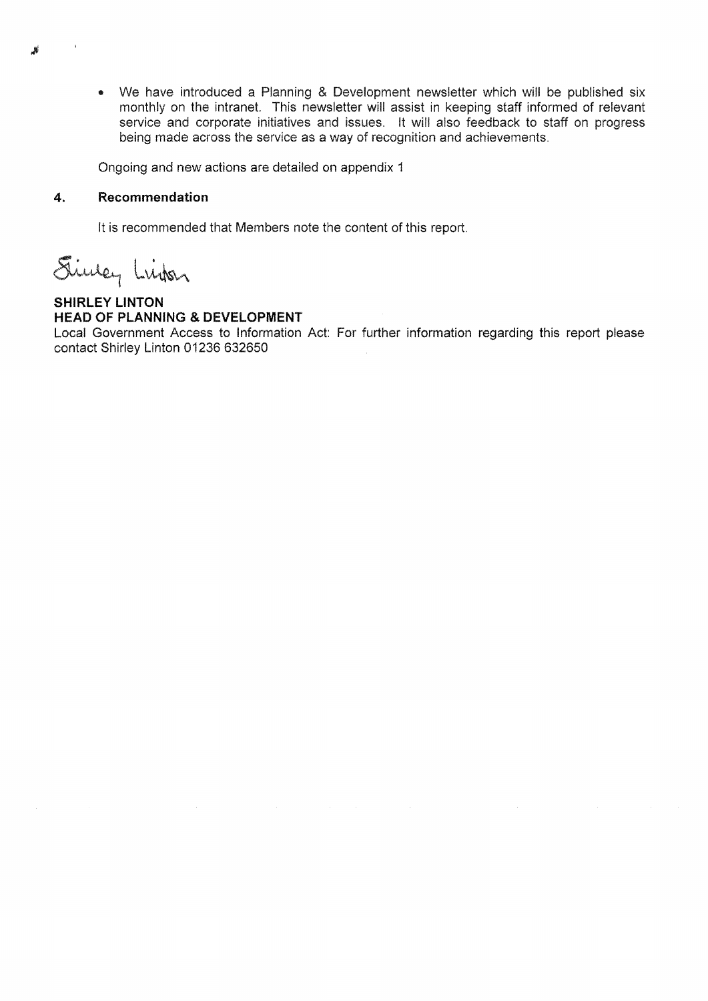• We have introduced a Planning & Development newsletter which will be published six monthly on the intranet. This newsletter will assist in keeping staff informed of relevant service and corporate initiatives and issues. It will also feedback to staff on progress being made across the service as a way of recognition and achievements.

Ongoing and new actions are detailed on appendix 1

#### 4. **Recommendation**

It is recommended that Members note the content of this report.

Since, Linker

## **SHIRLEY LINTON HEAD OF PLANNING & DEVELOPMENT**

Local Government Access to Information Act: For further information regarding this report please contact Shirley Linton 01236 632650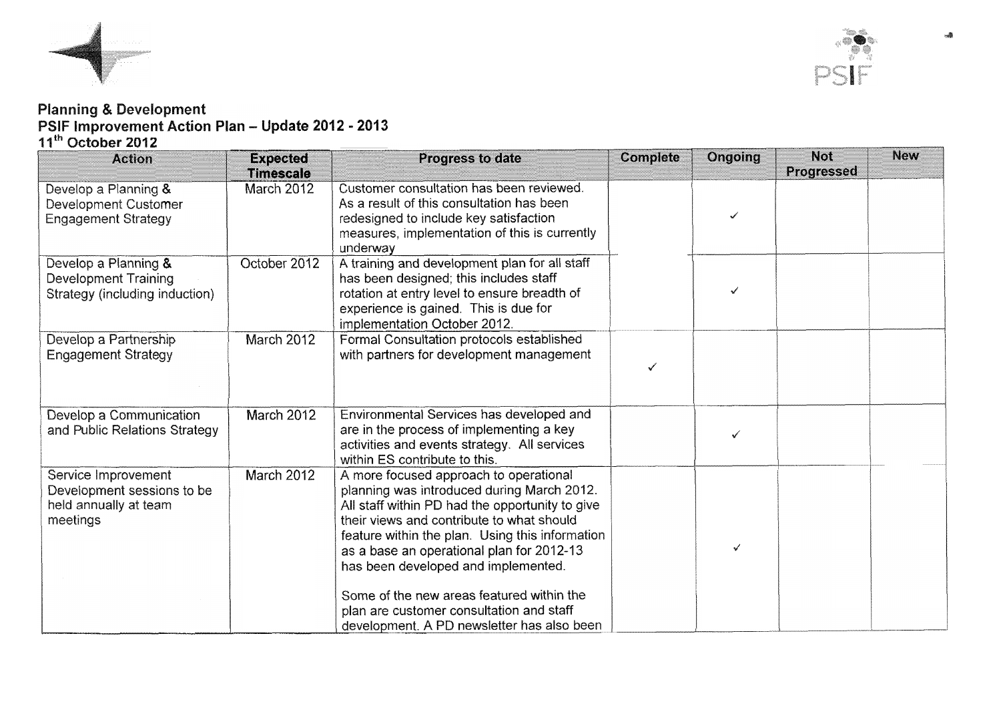



# **pdate 2012** - **2013**

| ' October 2012                    |                  |                                                                                              |          |         |            |            |
|-----------------------------------|------------------|----------------------------------------------------------------------------------------------|----------|---------|------------|------------|
| <b>Action</b>                     | <b>Expected</b>  | Progress to date                                                                             | Complete | Ongoing | <b>Not</b> | <b>New</b> |
|                                   | <b>Timescale</b> |                                                                                              |          |         | Progressed |            |
| Develop a Planning &              | March 2012       | Customer consultation has been reviewed.                                                     |          |         |            |            |
| <b>Development Customer</b>       |                  | As a result of this consultation has been                                                    |          |         |            |            |
| <b>Engagement Strategy</b>        |                  | redesigned to include key satisfaction                                                       |          | ✓       |            |            |
|                                   |                  | measures, implementation of this is currently                                                |          |         |            |            |
| Develop a Planning &              | October 2012     | underway<br>A training and development plan for all staff                                    |          |         |            |            |
| <b>Development Training</b>       |                  | has been designed; this includes staff                                                       |          |         |            |            |
| Strategy (including induction)    |                  | rotation at entry level to ensure breadth of                                                 |          | ✓       |            |            |
|                                   |                  | experience is gained. This is due for                                                        |          |         |            |            |
|                                   |                  | implementation October 2012.                                                                 |          |         |            |            |
| Develop a Partnership             | March 2012       | Formal Consultation protocols established                                                    |          |         |            |            |
| <b>Engagement Strategy</b>        |                  | with partners for development management                                                     |          |         |            |            |
|                                   |                  |                                                                                              | √        |         |            |            |
|                                   |                  |                                                                                              |          |         |            |            |
| Develop a Communication           | March 2012       | Environmental Services has developed and                                                     |          |         |            |            |
| and Public Relations Strategy     |                  | are in the process of implementing a key                                                     |          |         |            |            |
|                                   |                  | activities and events strategy. All services                                                 |          |         |            |            |
|                                   |                  | within ES contribute to this.                                                                |          |         |            |            |
| Service Improvement               | March 2012       | A more focused approach to operational                                                       |          |         |            |            |
| Development sessions to be        |                  | planning was introduced during March 2012.                                                   |          |         |            |            |
| held annually at team<br>meetings |                  | All staff within PD had the opportunity to give<br>their views and contribute to what should |          |         |            |            |
|                                   |                  | feature within the plan. Using this information                                              |          |         |            |            |
|                                   |                  | as a base an operational plan for 2012-13                                                    |          |         |            |            |
|                                   |                  | has been developed and implemented.                                                          |          |         |            |            |
|                                   |                  |                                                                                              |          |         |            |            |
|                                   |                  | Some of the new areas featured within the                                                    |          |         |            |            |
|                                   |                  | plan are customer consultation and staff                                                     |          |         |            |            |
|                                   |                  | development. A PD newsletter has also been                                                   |          |         |            |            |